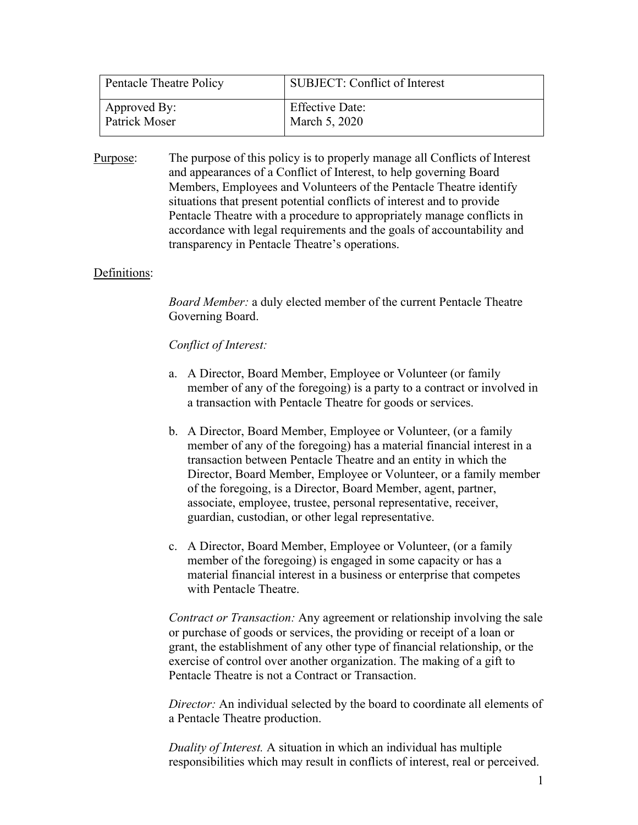| Pentacle Theatre Policy | SUBJECT: Conflict of Interest |
|-------------------------|-------------------------------|
| Approved By:            | <b>Effective Date:</b>        |
| Patrick Moser           | March 5, 2020                 |

Purpose: The purpose of this policy is to properly manage all Conflicts of Interest and appearances of a Conflict of Interest, to help governing Board Members, Employees and Volunteers of the Pentacle Theatre identify situations that present potential conflicts of interest and to provide Pentacle Theatre with a procedure to appropriately manage conflicts in accordance with legal requirements and the goals of accountability and transparency in Pentacle Theatre's operations.

### Definitions:

*Board Member:* a duly elected member of the current Pentacle Theatre Governing Board.

#### *Conflict of Interest:*

- a. A Director, Board Member, Employee or Volunteer (or family member of any of the foregoing) is a party to a contract or involved in a transaction with Pentacle Theatre for goods or services.
- b. A Director, Board Member, Employee or Volunteer, (or a family member of any of the foregoing) has a material financial interest in a transaction between Pentacle Theatre and an entity in which the Director, Board Member, Employee or Volunteer, or a family member of the foregoing, is a Director, Board Member, agent, partner, associate, employee, trustee, personal representative, receiver, guardian, custodian, or other legal representative.
- c. A Director, Board Member, Employee or Volunteer, (or a family member of the foregoing) is engaged in some capacity or has a material financial interest in a business or enterprise that competes with Pentacle Theatre.

*Contract or Transaction:* Any agreement or relationship involving the sale or purchase of goods or services, the providing or receipt of a loan or grant, the establishment of any other type of financial relationship, or the exercise of control over another organization. The making of a gift to Pentacle Theatre is not a Contract or Transaction.

*Director:* An individual selected by the board to coordinate all elements of a Pentacle Theatre production.

*Duality of Interest.* A situation in which an individual has multiple responsibilities which may result in conflicts of interest, real or perceived.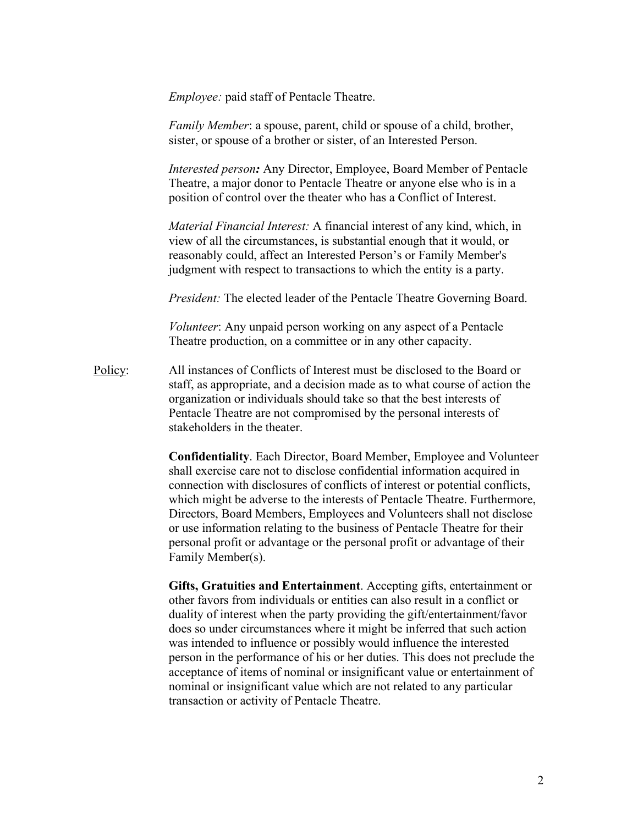*Employee:* paid staff of Pentacle Theatre.

*Family Member*: a spouse, parent, child or spouse of a child, brother, sister, or spouse of a brother or sister, of an Interested Person.

*Interested person:* Any Director, Employee, Board Member of Pentacle Theatre, a major donor to Pentacle Theatre or anyone else who is in a position of control over the theater who has a Conflict of Interest.

*Material Financial Interest:* A financial interest of any kind, which, in view of all the circumstances, is substantial enough that it would, or reasonably could, affect an Interested Person's or Family Member's judgment with respect to transactions to which the entity is a party.

*President:* The elected leader of the Pentacle Theatre Governing Board.

*Volunteer*: Any unpaid person working on any aspect of a Pentacle Theatre production, on a committee or in any other capacity.

Policy: All instances of Conflicts of Interest must be disclosed to the Board or staff, as appropriate, and a decision made as to what course of action the organization or individuals should take so that the best interests of Pentacle Theatre are not compromised by the personal interests of stakeholders in the theater.

> **Confidentiality**. Each Director, Board Member, Employee and Volunteer shall exercise care not to disclose confidential information acquired in connection with disclosures of conflicts of interest or potential conflicts, which might be adverse to the interests of Pentacle Theatre. Furthermore, Directors, Board Members, Employees and Volunteers shall not disclose or use information relating to the business of Pentacle Theatre for their personal profit or advantage or the personal profit or advantage of their Family Member(s).

**Gifts, Gratuities and Entertainment**. Accepting gifts, entertainment or other favors from individuals or entities can also result in a conflict or duality of interest when the party providing the gift/entertainment/favor does so under circumstances where it might be inferred that such action was intended to influence or possibly would influence the interested person in the performance of his or her duties. This does not preclude the acceptance of items of nominal or insignificant value or entertainment of nominal or insignificant value which are not related to any particular transaction or activity of Pentacle Theatre.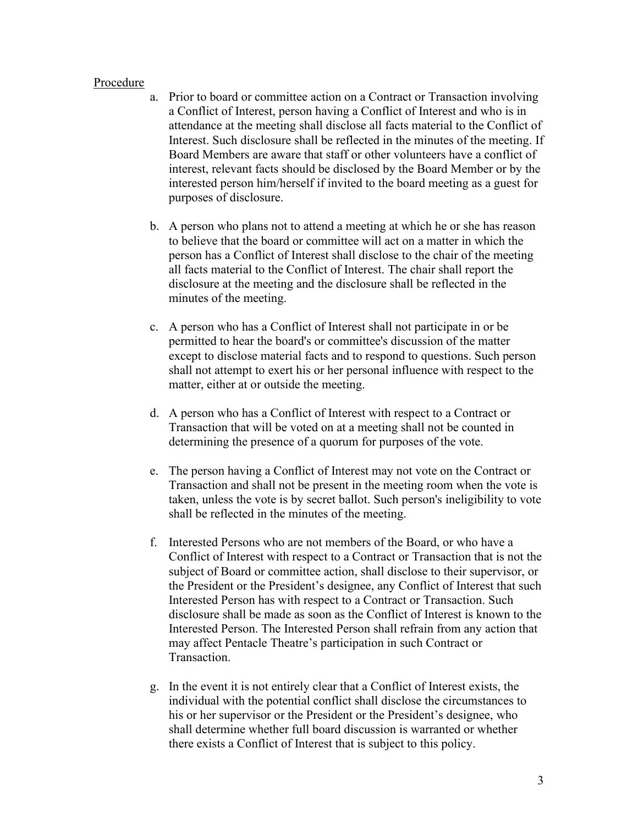#### Procedure

- a. Prior to board or committee action on a Contract or Transaction involving a Conflict of Interest, person having a Conflict of Interest and who is in attendance at the meeting shall disclose all facts material to the Conflict of Interest. Such disclosure shall be reflected in the minutes of the meeting. If Board Members are aware that staff or other volunteers have a conflict of interest, relevant facts should be disclosed by the Board Member or by the interested person him/herself if invited to the board meeting as a guest for purposes of disclosure.
- b. A person who plans not to attend a meeting at which he or she has reason to believe that the board or committee will act on a matter in which the person has a Conflict of Interest shall disclose to the chair of the meeting all facts material to the Conflict of Interest. The chair shall report the disclosure at the meeting and the disclosure shall be reflected in the minutes of the meeting.
- c. A person who has a Conflict of Interest shall not participate in or be permitted to hear the board's or committee's discussion of the matter except to disclose material facts and to respond to questions. Such person shall not attempt to exert his or her personal influence with respect to the matter, either at or outside the meeting.
- d. A person who has a Conflict of Interest with respect to a Contract or Transaction that will be voted on at a meeting shall not be counted in determining the presence of a quorum for purposes of the vote.
- e. The person having a Conflict of Interest may not vote on the Contract or Transaction and shall not be present in the meeting room when the vote is taken, unless the vote is by secret ballot. Such person's ineligibility to vote shall be reflected in the minutes of the meeting.
- f. Interested Persons who are not members of the Board, or who have a Conflict of Interest with respect to a Contract or Transaction that is not the subject of Board or committee action, shall disclose to their supervisor, or the President or the President's designee, any Conflict of Interest that such Interested Person has with respect to a Contract or Transaction. Such disclosure shall be made as soon as the Conflict of Interest is known to the Interested Person. The Interested Person shall refrain from any action that may affect Pentacle Theatre's participation in such Contract or Transaction.
- g. In the event it is not entirely clear that a Conflict of Interest exists, the individual with the potential conflict shall disclose the circumstances to his or her supervisor or the President or the President's designee, who shall determine whether full board discussion is warranted or whether there exists a Conflict of Interest that is subject to this policy.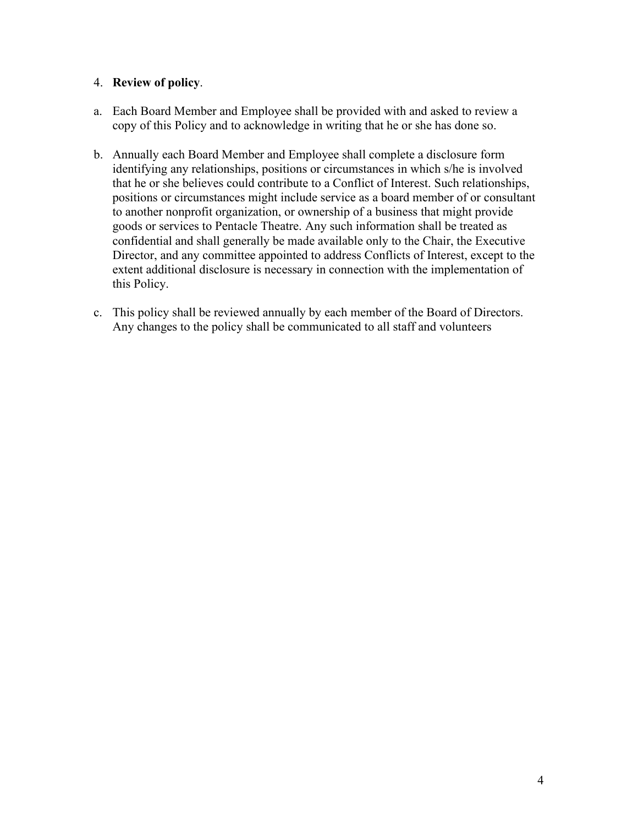## 4. **Review of policy**.

- a. Each Board Member and Employee shall be provided with and asked to review a copy of this Policy and to acknowledge in writing that he or she has done so.
- b. Annually each Board Member and Employee shall complete a disclosure form identifying any relationships, positions or circumstances in which s/he is involved that he or she believes could contribute to a Conflict of Interest. Such relationships, positions or circumstances might include service as a board member of or consultant to another nonprofit organization, or ownership of a business that might provide goods or services to Pentacle Theatre. Any such information shall be treated as confidential and shall generally be made available only to the Chair, the Executive Director, and any committee appointed to address Conflicts of Interest, except to the extent additional disclosure is necessary in connection with the implementation of this Policy.
- c. This policy shall be reviewed annually by each member of the Board of Directors. Any changes to the policy shall be communicated to all staff and volunteers